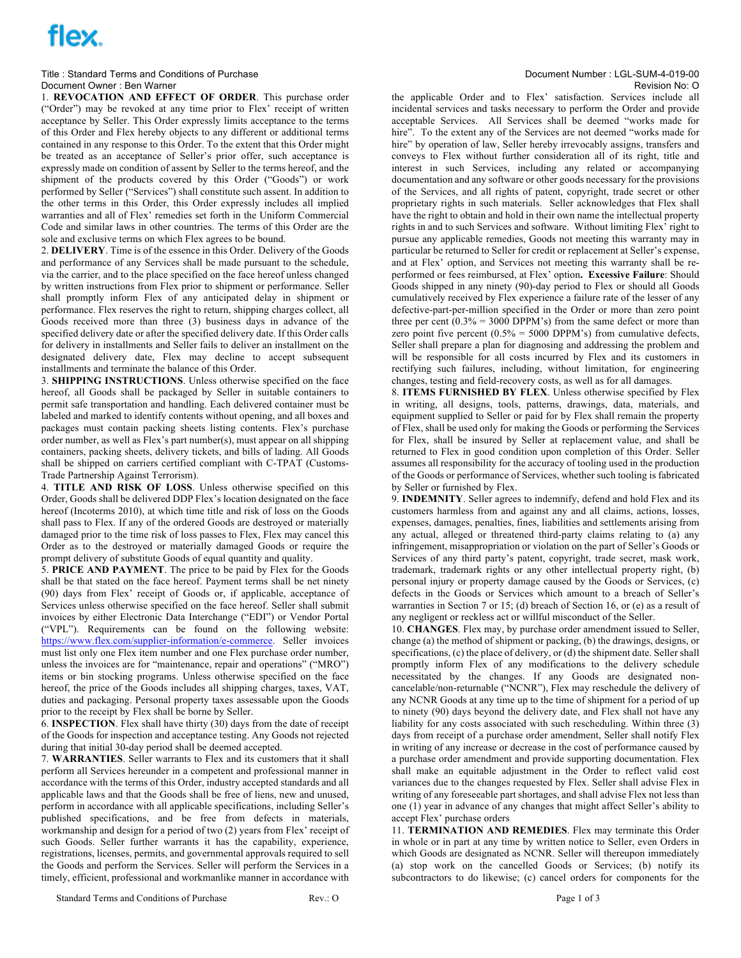# flex.

## Title : Standard Terms and Conditions of Purchase Document Number : LGL-SUM-4-019-00 Document Owner : Ben Warner Note and The Secret Assembly the Secret Assembly Document Owner : Ben Warner Revision No: O

1. **REVOCATION AND EFFECT OF ORDER**. This purchase order ("Order") may be revoked at any time prior to Flex' receipt of written acceptance by Seller. This Order expressly limits acceptance to the terms of this Order and Flex hereby objects to any different or additional terms contained in any response to this Order. To the extent that this Order might be treated as an acceptance of Seller's prior offer, such acceptance is expressly made on condition of assent by Seller to the terms hereof, and the shipment of the products covered by this Order ("Goods") or work performed by Seller ("Services") shall constitute such assent. In addition to the other terms in this Order, this Order expressly includes all implied warranties and all of Flex' remedies set forth in the Uniform Commercial Code and similar laws in other countries. The terms of this Order are the sole and exclusive terms on which Flex agrees to be bound.

2. **DELIVERY**. Time is of the essence in this Order. Delivery of the Goods and performance of any Services shall be made pursuant to the schedule, via the carrier, and to the place specified on the face hereof unless changed by written instructions from Flex prior to shipment or performance. Seller shall promptly inform Flex of any anticipated delay in shipment or performance. Flex reserves the right to return, shipping charges collect, all Goods received more than three (3) business days in advance of the specified delivery date or after the specified delivery date. If this Order calls for delivery in installments and Seller fails to deliver an installment on the designated delivery date, Flex may decline to accept subsequent installments and terminate the balance of this Order.

3. **SHIPPING INSTRUCTIONS**. Unless otherwise specified on the face hereof, all Goods shall be packaged by Seller in suitable containers to permit safe transportation and handling. Each delivered container must be labeled and marked to identify contents without opening, and all boxes and packages must contain packing sheets listing contents. Flex's purchase order number, as well as Flex's part number(s), must appear on all shipping containers, packing sheets, delivery tickets, and bills of lading. All Goods shall be shipped on carriers certified compliant with C-TPAT (Customs-Trade Partnership Against Terrorism).

4. **TITLE AND RISK OF LOSS**. Unless otherwise specified on this Order, Goods shall be delivered DDP Flex's location designated on the face hereof (Incoterms 2010), at which time title and risk of loss on the Goods shall pass to Flex. If any of the ordered Goods are destroyed or materially damaged prior to the time risk of loss passes to Flex, Flex may cancel this Order as to the destroyed or materially damaged Goods or require the prompt delivery of substitute Goods of equal quantity and quality.

5. **PRICE AND PAYMENT**. The price to be paid by Flex for the Goods shall be that stated on the face hereof. Payment terms shall be net ninety (90) days from Flex' receipt of Goods or, if applicable, acceptance of Services unless otherwise specified on the face hereof. Seller shall submit invoices by either Electronic Data Interchange ("EDI") or Vendor Portal ("VPL"). Requirements can be found on the following website: https://www.flex.com/supplier-information/e-commerce. Seller invoices must list only one Flex item number and one Flex purchase order number, unless the invoices are for "maintenance, repair and operations" ("MRO") items or bin stocking programs. Unless otherwise specified on the face hereof, the price of the Goods includes all shipping charges, taxes, VAT, duties and packaging. Personal property taxes assessable upon the Goods prior to the receipt by Flex shall be borne by Seller.

6. **INSPECTION**. Flex shall have thirty (30) days from the date of receipt of the Goods for inspection and acceptance testing. Any Goods not rejected during that initial 30-day period shall be deemed accepted.

7. **WARRANTIES**. Seller warrants to Flex and its customers that it shall perform all Services hereunder in a competent and professional manner in accordance with the terms of this Order, industry accepted standards and all applicable laws and that the Goods shall be free of liens, new and unused, perform in accordance with all applicable specifications, including Seller's published specifications, and be free from defects in materials, workmanship and design for a period of two (2) years from Flex' receipt of such Goods. Seller further warrants it has the capability, experience, registrations, licenses, permits, and governmental approvals required to sell the Goods and perform the Services. Seller will perform the Services in a timely, efficient, professional and workmanlike manner in accordance with

the applicable Order and to Flex' satisfaction. Services include all incidental services and tasks necessary to perform the Order and provide acceptable Services. All Services shall be deemed "works made for hire". To the extent any of the Services are not deemed "works made for hire" by operation of law, Seller hereby irrevocably assigns, transfers and conveys to Flex without further consideration all of its right, title and interest in such Services, including any related or accompanying documentation and any software or other goods necessary for the provisions of the Services, and all rights of patent, copyright, trade secret or other proprietary rights in such materials. Seller acknowledges that Flex shall have the right to obtain and hold in their own name the intellectual property rights in and to such Services and software. Without limiting Flex' right to pursue any applicable remedies, Goods not meeting this warranty may in particular be returned to Seller for credit or replacement at Seller's expense, and at Flex' option, and Services not meeting this warranty shall be reperformed or fees reimbursed, at Flex' option**. Excessive Failure**: Should Goods shipped in any ninety (90)-day period to Flex or should all Goods cumulatively received by Flex experience a failure rate of the lesser of any defective-part-per-million specified in the Order or more than zero point three per cent  $(0.3\% = 3000$  DPPM's) from the same defect or more than zero point five percent  $(0.5\% = 5000$  DPPM's) from cumulative defects, Seller shall prepare a plan for diagnosing and addressing the problem and will be responsible for all costs incurred by Flex and its customers in rectifying such failures, including, without limitation, for engineering changes, testing and field-recovery costs, as well as for all damages.

8. **ITEMS FURNISHED BY FLEX**. Unless otherwise specified by Flex in writing, all designs, tools, patterns, drawings, data, materials, and equipment supplied to Seller or paid for by Flex shall remain the property of Flex, shall be used only for making the Goods or performing the Services for Flex, shall be insured by Seller at replacement value, and shall be returned to Flex in good condition upon completion of this Order. Seller assumes all responsibility for the accuracy of tooling used in the production of the Goods or performance of Services, whether such tooling is fabricated by Seller or furnished by Flex.

9. **INDEMNITY**. Seller agrees to indemnify, defend and hold Flex and its customers harmless from and against any and all claims, actions, losses, expenses, damages, penalties, fines, liabilities and settlements arising from any actual, alleged or threatened third-party claims relating to (a) any infringement, misappropriation or violation on the part of Seller's Goods or Services of any third party's patent, copyright, trade secret, mask work, trademark, trademark rights or any other intellectual property right, (b) personal injury or property damage caused by the Goods or Services, (c) defects in the Goods or Services which amount to a breach of Seller's warranties in Section 7 or 15; (d) breach of Section 16, or (e) as a result of any negligent or reckless act or willful misconduct of the Seller.

10. **CHANGES**. Flex may, by purchase order amendment issued to Seller, change (a) the method of shipment or packing, (b) the drawings, designs, or specifications, (c) the place of delivery, or (d) the shipment date. Seller shall promptly inform Flex of any modifications to the delivery schedule necessitated by the changes. If any Goods are designated noncancelable/non-returnable ("NCNR"), Flex may reschedule the delivery of any NCNR Goods at any time up to the time of shipment for a period of up to ninety (90) days beyond the delivery date, and Flex shall not have any liability for any costs associated with such rescheduling. Within three (3) days from receipt of a purchase order amendment. Seller shall notify Flex in writing of any increase or decrease in the cost of performance caused by a purchase order amendment and provide supporting documentation. Flex shall make an equitable adjustment in the Order to reflect valid cost variances due to the changes requested by Flex. Seller shall advise Flex in writing of any foreseeable part shortages, and shall advise Flex not less than one (1) year in advance of any changes that might affect Seller's ability to accept Flex' purchase orders

11. **TERMINATION AND REMEDIES**. Flex may terminate this Order in whole or in part at any time by written notice to Seller, even Orders in which Goods are designated as NCNR. Seller will thereupon immediately (a) stop work on the cancelled Goods or Services; (b) notify its subcontractors to do likewise; (c) cancel orders for components for the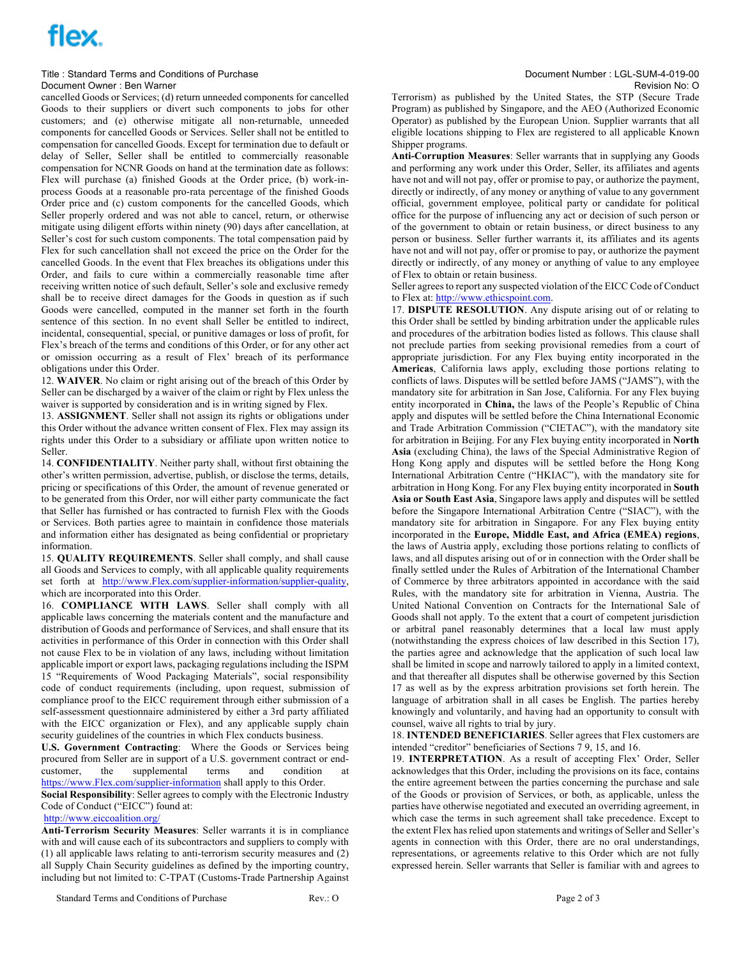# flex.

### Title : Standard Terms and Conditions of Purchase Document Number : LGL-SUM-4-019-00 Document Owner : Ben Warner Note and The Secret Assembly the Secret Assembly Document Owner : Ben Warner Revision No: O

cancelled Goods or Services; (d) return unneeded components for cancelled Goods to their suppliers or divert such components to jobs for other customers; and (e) otherwise mitigate all non-returnable, unneeded components for cancelled Goods or Services. Seller shall not be entitled to compensation for cancelled Goods. Except for termination due to default or delay of Seller, Seller shall be entitled to commercially reasonable compensation for NCNR Goods on hand at the termination date as follows: Flex will purchase (a) finished Goods at the Order price, (b) work-inprocess Goods at a reasonable pro-rata percentage of the finished Goods Order price and (c) custom components for the cancelled Goods, which Seller properly ordered and was not able to cancel, return, or otherwise mitigate using diligent efforts within ninety (90) days after cancellation, at Seller's cost for such custom components. The total compensation paid by Flex for such cancellation shall not exceed the price on the Order for the cancelled Goods. In the event that Flex breaches its obligations under this Order, and fails to cure within a commercially reasonable time after receiving written notice of such default, Seller's sole and exclusive remedy shall be to receive direct damages for the Goods in question as if such Goods were cancelled, computed in the manner set forth in the fourth sentence of this section. In no event shall Seller be entitled to indirect, incidental, consequential, special, or punitive damages or loss of profit, for Flex's breach of the terms and conditions of this Order, or for any other act or omission occurring as a result of Flex' breach of its performance obligations under this Order.

12. **WAIVER**. No claim or right arising out of the breach of this Order by Seller can be discharged by a waiver of the claim or right by Flex unless the waiver is supported by consideration and is in writing signed by Flex.

13. **ASSIGNMENT**. Seller shall not assign its rights or obligations under this Order without the advance written consent of Flex. Flex may assign its rights under this Order to a subsidiary or affiliate upon written notice to Seller.

14. **CONFIDENTIALITY**. Neither party shall, without first obtaining the other's written permission, advertise, publish, or disclose the terms, details, pricing or specifications of this Order, the amount of revenue generated or to be generated from this Order, nor will either party communicate the fact that Seller has furnished or has contracted to furnish Flex with the Goods or Services. Both parties agree to maintain in confidence those materials and information either has designated as being confidential or proprietary information.

15. **QUALITY REQUIREMENTS**. Seller shall comply, and shall cause all Goods and Services to comply, with all applicable quality requirements set forth at http://www.Flex.com/supplier-information/supplier-quality, which are incorporated into this Order.

16. **COMPLIANCE WITH LAWS**. Seller shall comply with all applicable laws concerning the materials content and the manufacture and distribution of Goods and performance of Services, and shall ensure that its activities in performance of this Order in connection with this Order shall not cause Flex to be in violation of any laws, including without limitation applicable import or export laws, packaging regulations including the ISPM 15 "Requirements of Wood Packaging Materials", social responsibility code of conduct requirements (including, upon request, submission of compliance proof to the EICC requirement through either submission of a self-assessment questionnaire administered by either a 3rd party affiliated with the EICC organization or Flex), and any applicable supply chain security guidelines of the countries in which Flex conducts business.

**U.S. Government Contracting**: Where the Goods or Services being procured from Seller are in support of a U.S. government contract or end-<br>customer. the supplemental terms and condition at customer, the supplemental terms and condition at https://www.Flex.com/supplier-information shall apply to this Order.

**Social Responsibility**: Seller agrees to comply with the Electronic Industry Code of Conduct ("EICC") found at:

## http://www.eiccoalition.org/

**Anti-Terrorism Security Measures**: Seller warrants it is in compliance with and will cause each of its subcontractors and suppliers to comply with (1) all applicable laws relating to anti-terrorism security measures and (2) all Supply Chain Security guidelines as defined by the importing country, including but not limited to: C-TPAT (Customs-Trade Partnership Against

Standard Terms and Conditions of Purchase Rev.: O Page 2 of 3

Terrorism) as published by the United States, the STP (Secure Trade Program) as published by Singapore, and the AEO (Authorized Economic Operator) as published by the European Union. Supplier warrants that all eligible locations shipping to Flex are registered to all applicable Known Shipper programs.

**Anti-Corruption Measures**: Seller warrants that in supplying any Goods and performing any work under this Order, Seller, its affiliates and agents have not and will not pay, offer or promise to pay, or authorize the payment, directly or indirectly, of any money or anything of value to any government official, government employee, political party or candidate for political office for the purpose of influencing any act or decision of such person or of the government to obtain or retain business, or direct business to any person or business. Seller further warrants it, its affiliates and its agents have not and will not pay, offer or promise to pay, or authorize the payment directly or indirectly, of any money or anything of value to any employee of Flex to obtain or retain business.

Seller agrees to report any suspected violation of the EICC Code of Conduct to Flex at: http://www.ethicspoint.com.

17. **DISPUTE RESOLUTION**. Any dispute arising out of or relating to this Order shall be settled by binding arbitration under the applicable rules and procedures of the arbitration bodies listed as follows. This clause shall not preclude parties from seeking provisional remedies from a court of appropriate jurisdiction. For any Flex buying entity incorporated in the **Americas**, California laws apply, excluding those portions relating to conflicts of laws. Disputes will be settled before JAMS ("JAMS"), with the mandatory site for arbitration in San Jose, California. For any Flex buying entity incorporated in **China,** the laws of the People's Republic of China apply and disputes will be settled before the China International Economic and Trade Arbitration Commission ("CIETAC"), with the mandatory site for arbitration in Beijing. For any Flex buying entity incorporated in **North Asia** (excluding China), the laws of the Special Administrative Region of Hong Kong apply and disputes will be settled before the Hong Kong International Arbitration Centre ("HKIAC"), with the mandatory site for arbitration in Hong Kong. For any Flex buying entity incorporated in **South Asia or South East Asia**, Singapore laws apply and disputes will be settled before the Singapore International Arbitration Centre ("SIAC"), with the mandatory site for arbitration in Singapore. For any Flex buying entity incorporated in the **Europe, Middle East, and Africa (EMEA) regions**, the laws of Austria apply, excluding those portions relating to conflicts of laws, and all disputes arising out of or in connection with the Order shall be finally settled under the Rules of Arbitration of the International Chamber of Commerce by three arbitrators appointed in accordance with the said Rules, with the mandatory site for arbitration in Vienna, Austria. The United National Convention on Contracts for the International Sale of Goods shall not apply. To the extent that a court of competent jurisdiction or arbitral panel reasonably determines that a local law must apply (notwithstanding the express choices of law described in this Section 17), the parties agree and acknowledge that the application of such local law shall be limited in scope and narrowly tailored to apply in a limited context, and that thereafter all disputes shall be otherwise governed by this Section 17 as well as by the express arbitration provisions set forth herein. The language of arbitration shall in all cases be English. The parties hereby knowingly and voluntarily, and having had an opportunity to consult with counsel, waive all rights to trial by jury.

18. **INTENDED BENEFICIARIES**. Seller agrees that Flex customers are intended "creditor" beneficiaries of Sections 7 9, 15, and 16.

19. **INTERPRETATION**. As a result of accepting Flex' Order, Seller acknowledges that this Order, including the provisions on its face, contains the entire agreement between the parties concerning the purchase and sale of the Goods or provision of Services, or both, as applicable, unless the parties have otherwise negotiated and executed an overriding agreement, in which case the terms in such agreement shall take precedence. Except to the extent Flex has relied upon statements and writings of Seller and Seller's agents in connection with this Order, there are no oral understandings, representations, or agreements relative to this Order which are not fully expressed herein. Seller warrants that Seller is familiar with and agrees to